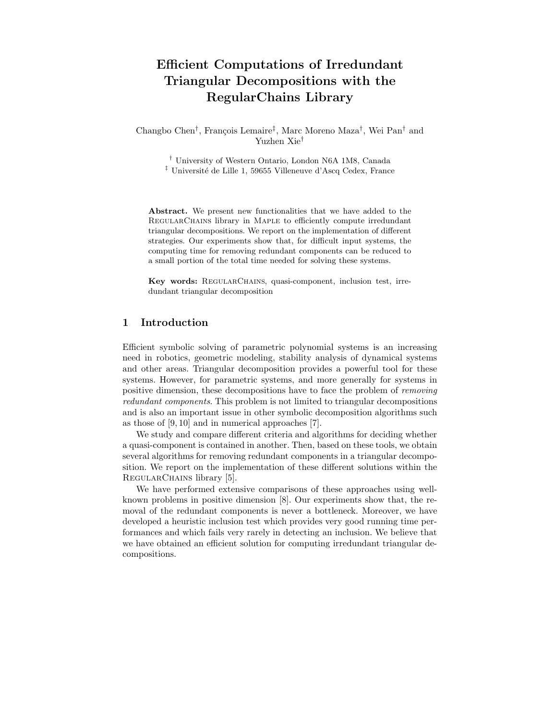# Efficient Computations of Irredundant Triangular Decompositions with the RegularChains Library

Changbo Chen<sup>†</sup>, François Lemaire<sup>‡</sup>, Marc Moreno Maza<sup>†</sup>, Wei Pan<sup>†</sup> and Yuzhen Xie†

† University of Western Ontario, London N6A 1M8, Canada

<sup>‡</sup> Université de Lille 1, 59655 Villeneuve d'Ascq Cedex, France

Abstract. We present new functionalities that we have added to the RegularChains library in Maple to efficiently compute irredundant triangular decompositions. We report on the implementation of different strategies. Our experiments show that, for difficult input systems, the computing time for removing redundant components can be reduced to a small portion of the total time needed for solving these systems.

Key words: RegularChains, quasi-component, inclusion test, irredundant triangular decomposition

## 1 Introduction

Efficient symbolic solving of parametric polynomial systems is an increasing need in robotics, geometric modeling, stability analysis of dynamical systems and other areas. Triangular decomposition provides a powerful tool for these systems. However, for parametric systems, and more generally for systems in positive dimension, these decompositions have to face the problem of removing redundant components. This problem is not limited to triangular decompositions and is also an important issue in other symbolic decomposition algorithms such as those of [9, 10] and in numerical approaches [7].

We study and compare different criteria and algorithms for deciding whether a quasi-component is contained in another. Then, based on these tools, we obtain several algorithms for removing redundant components in a triangular decomposition. We report on the implementation of these different solutions within the REGULARCHAINS library [5].

We have performed extensive comparisons of these approaches using wellknown problems in positive dimension [8]. Our experiments show that, the removal of the redundant components is never a bottleneck. Moreover, we have developed a heuristic inclusion test which provides very good running time performances and which fails very rarely in detecting an inclusion. We believe that we have obtained an efficient solution for computing irredundant triangular decompositions.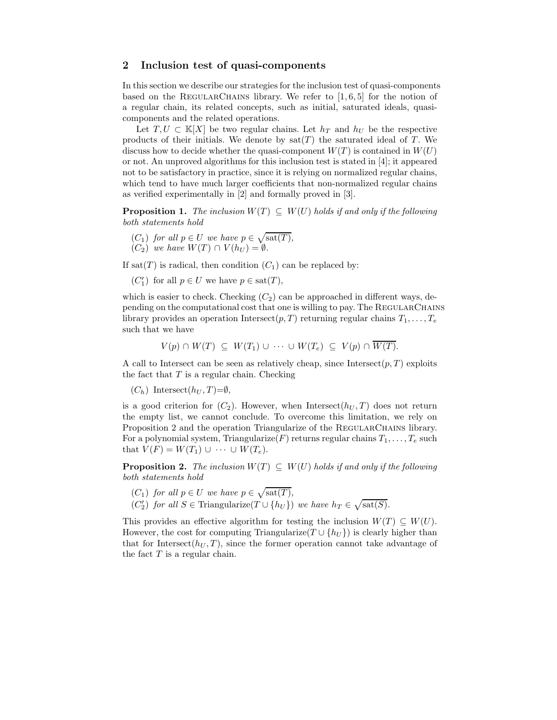### 2 Inclusion test of quasi-components

In this section we describe our strategies for the inclusion test of quasi-components based on the REGULARCHAINS library. We refer to  $[1, 6, 5]$  for the notion of a regular chain, its related concepts, such as initial, saturated ideals, quasicomponents and the related operations.

Let  $T, U \subset \mathbb{K}[X]$  be two regular chains. Let  $h_T$  and  $h_U$  be the respective products of their initials. We denote by  $sat(T)$  the saturated ideal of T. We discuss how to decide whether the quasi-component  $W(T)$  is contained in  $W(U)$ or not. An unproved algorithms for this inclusion test is stated in [4]; it appeared not to be satisfactory in practice, since it is relying on normalized regular chains, which tend to have much larger coefficients that non-normalized regular chains as verified experimentally in [2] and formally proved in [3].

**Proposition 1.** The inclusion  $W(T) \subseteq W(U)$  holds if and only if the following both statements hold

 $(C_1)$  for all  $p \in U$  we have  $p \in \sqrt{\text{sat}(T)}$ ,  $(C_2)$  we have  $W(T) \cap V(h_U) = \emptyset$ .

If sat(T) is radical, then condition  $(C_1)$  can be replaced by:

 $(C'_1)$  for all  $p \in U$  we have  $p \in \text{sat}(T)$ ,

which is easier to check. Checking  $(C_2)$  can be approached in different ways, depending on the computational cost that one is willing to pay. The RegularChains library provides an operation Intersect $(p, T)$  returning regular chains  $T_1, \ldots, T_e$ such that we have

$$
V(p) \cap W(T) \subseteq W(T_1) \cup \cdots \cup W(T_e) \subseteq V(p) \cap \overline{W(T)}.
$$

A call to Intersect can be seen as relatively cheap, since Intersect $(p, T)$  exploits the fact that  $T$  is a regular chain. Checking

 $(C_h)$  Intersect $(h_U, T) = \emptyset$ ,

is a good criterion for  $(C_2)$ . However, when Intersect $(h_U, T)$  does not return the empty list, we cannot conclude. To overcome this limitation, we rely on Proposition 2 and the operation Triangularize of the REGULARCHAINS library. For a polynomial system, Triangularize(F) returns regular chains  $T_1, \ldots, T_e$  such that  $V(F) = W(T_1) \cup \cdots \cup W(T_e)$ .

**Proposition 2.** The inclusion  $W(T) \subseteq W(U)$  holds if and only if the following both statements hold

- $(C_1)$  for all  $p \in U$  we have  $p \in \sqrt{\text{sat}(T)}$ ,
- $(C_2')$  for all  $S \in \text{Triangularize}(T \cup \{h_U\})$  we have  $h_T \in \sqrt{\text{sat}(S)}$ .

This provides an effective algorithm for testing the inclusion  $W(T) \subseteq W(U)$ . However, the cost for computing Triangularize( $T \cup \{h_{U}\}\$ ) is clearly higher than that for Intersect $(h_U, T)$ , since the former operation cannot take advantage of the fact  $T$  is a regular chain.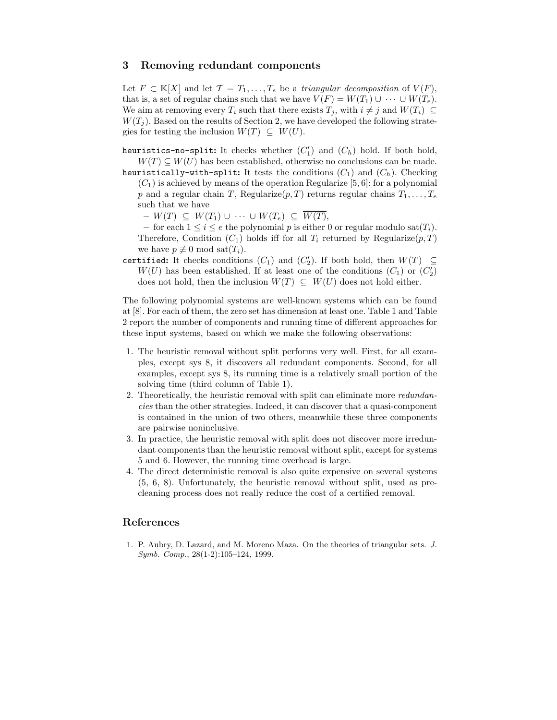### 3 Removing redundant components

Let  $F \subset \mathbb{K}[X]$  and let  $\mathcal{T} = T_1, \ldots, T_e$  be a triangular decomposition of  $V(F)$ , that is, a set of regular chains such that we have  $V(F) = W(T_1) \cup \cdots \cup W(T_e)$ . We aim at removing every  $T_i$  such that there exists  $T_j$ , with  $i \neq j$  and  $W(T_i) \subseteq$  $W(T_i)$ . Based on the results of Section 2, we have developed the following strategies for testing the inclusion  $W(T) \subseteq W(U)$ .

heuristics-no-split: It checks whether  $(C'_1)$  and  $(C_h)$  hold. If both hold,  $W(T) \subseteq W(U)$  has been established, otherwise no conclusions can be made.

heuristically-with-split: It tests the conditions  $(C_1)$  and  $(C_h)$ . Checking  $(C_1)$  is achieved by means of the operation Regularize [5, 6]: for a polynomial p and a regular chain T, Regularize $(p, T)$  returns regular chains  $T_1, \ldots, T_e$ such that we have

 $- W(T) \subseteq W(T_1) \cup \cdots \cup W(T_e) \subseteq \overline{W(T)}$ 

– for each  $1 \leq i \leq e$  the polynomial p is either 0 or regular modulo sat $(T_i)$ . Therefore, Condition  $(C_1)$  holds iff for all  $T_i$  returned by Regularize $(p, T)$ we have  $p \not\equiv 0 \mod \text{sat}(T_i)$ .

certified: It checks conditions  $(C_1)$  and  $(C_2')$ . If both hold, then  $W(T) \subseteq$  $W(U)$  has been established. If at least one of the conditions  $(C_1)$  or  $(C_2')$ does not hold, then the inclusion  $W(T) \subseteq W(U)$  does not hold either.

The following polynomial systems are well-known systems which can be found at [8]. For each of them, the zero set has dimension at least one. Table 1 and Table 2 report the number of components and running time of different approaches for these input systems, based on which we make the following observations:

- 1. The heuristic removal without split performs very well. First, for all examples, except sys 8, it discovers all redundant components. Second, for all examples, except sys 8, its running time is a relatively small portion of the solving time (third column of Table 1).
- 2. Theoretically, the heuristic removal with split can eliminate more *redundan*cies than the other strategies. Indeed, it can discover that a quasi-component is contained in the union of two others, meanwhile these three components are pairwise noninclusive.
- 3. In practice, the heuristic removal with split does not discover more irredundant components than the heuristic removal without split, except for systems 5 and 6. However, the running time overhead is large.
- 4. The direct deterministic removal is also quite expensive on several systems (5, 6, 8). Unfortunately, the heuristic removal without split, used as precleaning process does not really reduce the cost of a certified removal.

## References

1. P. Aubry, D. Lazard, and M. Moreno Maza. On the theories of triangular sets. J. Symb. Comp., 28(1-2):105–124, 1999.